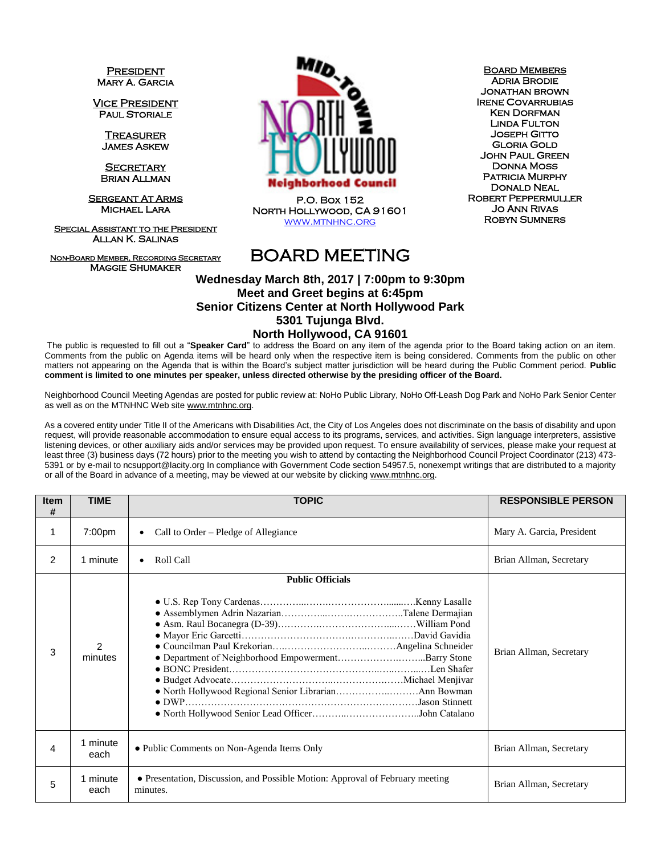**PRESIDENT** Mary A. Garcia

Vice President PAUL STORIALE

> **TREASURER** James Askew

**SECRETARY** Brian Allman

**SERGEANT AT ARMS** Michael Lara

Special Assistant to the President Allan K. Salinas

Non-Board Member, Recording Secretary Maggie Shumaker



P.O. Box 152 North Hollywood, CA 91601 [www.mtnhnc.org](http://www.mtnhnc.org/)

**BOARD MEMBERS** Adria Brodie Jonathan brown Irene Covarrubias **KEN DORFMAN** Linda Fulton Joseph Gitto Gloria Gold John Paul Green Donna Moss PATRICIA MURPHY Donald Neal Robert Peppermuller Jo Ann Rivas Robyn Sumners

## BOARD MEETING

## **Wednesday March 8th, 2017 | 7:00pm to 9:30pm Meet and Greet begins at 6:45pm Senior Citizens Center at North Hollywood Park 5301 Tujunga Blvd.**

## **North Hollywood, CA 91601**

The public is requested to fill out a "**Speaker Card**" to address the Board on any item of the agenda prior to the Board taking action on an item. Comments from the public on Agenda items will be heard only when the respective item is being considered. Comments from the public on other matters not appearing on the Agenda that is within the Board's subject matter jurisdiction will be heard during the Public Comment period. **Public comment is limited to one minutes per speaker, unless directed otherwise by the presiding officer of the Board.** 

Neighborhood Council Meeting Agendas are posted for public review at: NoHo Public Library, NoHo Off-Leash Dog Park and NoHo Park Senior Center as well as on the MTNHNC Web sit[e www.mtnhnc.org.](http://www.mtnhnc.org/)

As a covered entity under Title II of the Americans with Disabilities Act, the City of Los Angeles does not discriminate on the basis of disability and upon request, will provide reasonable accommodation to ensure equal access to its programs, services, and activities. Sign language interpreters, assistive listening devices, or other auxiliary aids and/or services may be provided upon request. To ensure availability of services, please make your request at least three (3) business days (72 hours) prior to the meeting you wish to attend by contacting the Neighborhood Council Project Coordinator (213) 473- 5391 or by e-mail to ncsupport@lacity.org In compliance with Government Code section 54957.5, nonexempt writings that are distributed to a majority or all of the Board in advance of a meeting, may be viewed at our website by clicking www.mtnhnc.org.

| <b>Item</b><br># | <b>TIME</b>      | <b>TOPIC</b>                                                                              | <b>RESPONSIBLE PERSON</b> |
|------------------|------------------|-------------------------------------------------------------------------------------------|---------------------------|
| 1                | 7:00pm           | Call to Order – Pledge of Allegiance<br>$\bullet$                                         | Mary A. Garcia, President |
| 2                | 1 minute         | Roll Call<br>$\bullet$                                                                    | Brian Allman, Secretary   |
| 3                | 2<br>minutes     | <b>Public Officials</b><br>• Department of Neighborhood EmpowermentBarry Stone            | Brian Allman, Secretary   |
| 4                | 1 minute<br>each | • Public Comments on Non-Agenda Items Only                                                | Brian Allman, Secretary   |
| 5                | 1 minute<br>each | • Presentation, Discussion, and Possible Motion: Approval of February meeting<br>minutes. | Brian Allman, Secretary   |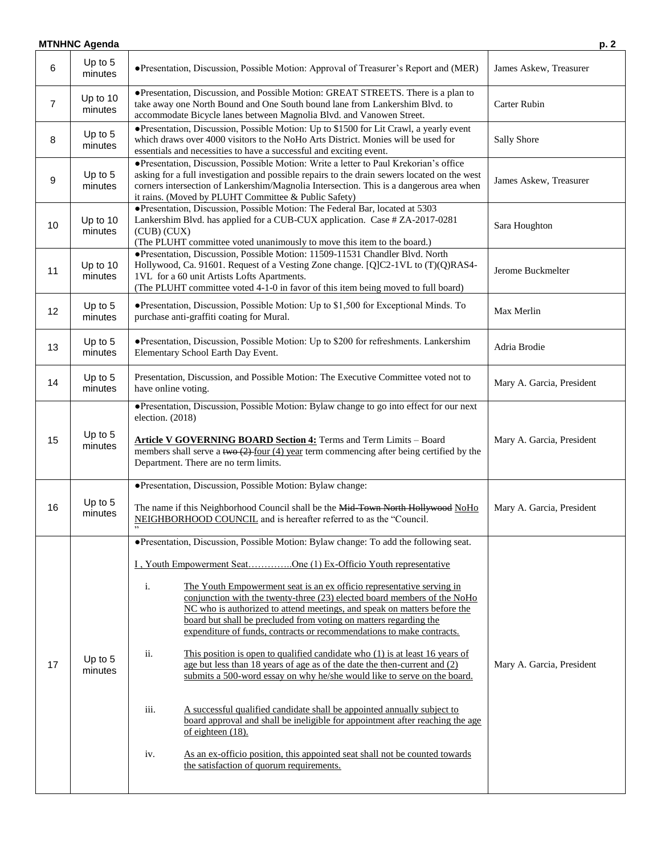## **MTNHNC Agenda** p. 2 6 Up to 5 minutes ●Presentation, Discussion, Possible Motion: Approval of Treasurer's Report and (MER) James Askew, Treasurer 7 Up to 10 minutes ●Presentation, Discussion, and Possible Motion: GREAT STREETS. There is a plan to take away one North Bound and One South bound lane from Lankershim Blvd. to accommodate Bicycle lanes between Magnolia Blvd. and Vanowen Street. Carter Rubin 8 Up to 5 minutes ●Presentation, Discussion, Possible Motion: Up to \$1500 for Lit Crawl, a yearly event which draws over 4000 visitors to the NoHo Arts District. Monies will be used for essentials and necessities to have a successful and exciting event. Sally Shore 9 Up to 5 minutes ●Presentation, Discussion, Possible Motion: Write a letter to Paul Krekorian's office asking for a full investigation and possible repairs to the drain sewers located on the west corners intersection of Lankershim/Magnolia Intersection. This is a dangerous area when it rains. (Moved by PLUHT Committee & Public Safety) James Askew, Treasurer  $10$  Up to 10 minutes ●Presentation, Discussion, Possible Motion: The Federal Bar, located at 5303 Lankershim Blvd. has applied for a CUB-CUX application. Case # ZA-2017-0281 (CUB) (CUX) (The PLUHT committee voted unanimously to move this item to the board.) Sara Houghton  $11$  Up to 10 minutes ●Presentation, Discussion, Possible Motion: 11509-11531 Chandler Blvd. North Hollywood, Ca. 91601. Request of a Vesting Zone change. [Q]C2-1VL to (T)(Q)RAS4- 1VL for a 60 unit Artists Lofts Apartments. (The PLUHT committee voted 4-1-0 in favor of this item being moved to full board) Jerome Buckmelter  $12$  Up to 5 minutes • Presentation, Discussion, Possible Motion: Up to \$1,500 for Exceptional Minds. To Max Merlin purchase anti-graffiti coating for Mural.  $13$  Up to 5 minutes ●Presentation, Discussion, Possible Motion: Up to \$200 for refreshments. Lankershim Elementary School Earth Day Event.  $14$  Up to 5 minutes Presentation, Discussion, and Possible Motion: The Executive Committee voted not to<br>have online voting. President  $15$  Up to 5 minutes ●Presentation, Discussion, Possible Motion: Bylaw change to go into effect for our next election. (2018) **Article V GOVERNING BOARD Section 4:** Terms and Term Limits – Board members shall serve a two  $(2)$  four (4) year term commencing after being certified by the Department. There are no term limits. Mary A. Garcia, President  $16$  Up to 5 minutes ●Presentation, Discussion, Possible Motion: Bylaw change: The name if this Neighborhood Council shall be the Mid-Town North Hollywood NoHo NEIGHBORHOOD COUNCIL and is hereafter referred to as the "Council. " Mary A. Garcia, President  $17$  Up to 5 minutes ●Presentation, Discussion, Possible Motion: Bylaw change: To add the following seat. I , Youth Empowerment Seat…………..One (1) Ex-Officio Youth representative i. The Youth Empowerment seat is an ex officio representative serving in conjunction with the twenty-three (23) elected board members of the NoHo NC who is authorized to attend meetings, and speak on matters before the board but shall be precluded from voting on matters regarding the expenditure of funds, contracts or recommendations to make contracts. ii. This position is open to qualified candidate who (1) is at least 16 years of age but less than 18 years of age as of the date the then-current and (2) submits a 500-word essay on why he/she would like to serve on the board. iii. A successful qualified candidate shall be appointed annually subject to board approval and shall be ineligible for appointment after reaching the age of eighteen (18). iv. As an ex-officio position, this appointed seat shall not be counted towards the satisfaction of quorum requirements. Mary A. Garcia, President